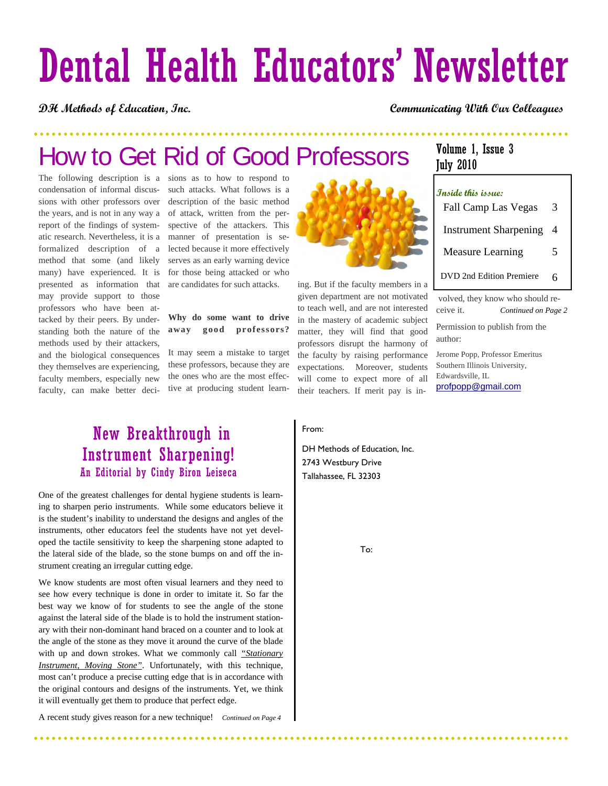# Dental Health Educators' Newsletter

#### **DH Methods of Education, Inc. Communicating With Our Colleagues**

## How to Get Rid of Good Professors

The following description is a condensation of informal discussions with other professors over the years, and is not in any way a report of the findings of systematic research. Nevertheless, it is a formalized description of a method that some (and likely many) have experienced. It is presented as information that may provide support to those professors who have been attacked by their peers. By understanding both the nature of the methods used by their attackers, and the biological consequences they themselves are experiencing, faculty members, especially new faculty, can make better deci-

sions as to how to respond to such attacks. What follows is a description of the basic method of attack, written from the perspective of the attackers. This manner of presentation is selected because it more effectively serves as an early warning device for those being attacked or who are candidates for such attacks.

#### **Why do some want to drive away good professors?**

It may seem a mistake to target these professors, because they are the ones who are the most effective at producing student learn-



ing. But if the faculty members in a given department are not motivated to teach well, and are not interested in the mastery of academic subject matter, they will find that good professors disrupt the harmony of the faculty by raising performance expectations. Moreover, students will come to expect more of all their teachers. If merit pay is in-

### Volume 1, Issue 3 July 2010

| Inside this issue:           |   |
|------------------------------|---|
| Fall Camp Las Vegas          | 3 |
| <b>Instrument Sharpening</b> | 4 |
| <b>Measure Learning</b>      | 5 |
| DVD 2nd Edition Premiere     | 6 |

volved, they know who should receive it. *Continued on Page 2*

Permission to publish from the author:

Jerome Popp, Professor Emeritus Southern Illinois University, Edwardsville, IL profpopp@gmail.com

## New Breakthrough in Instrument Sharpening! An Editorial by Cindy Biron Leiseca

One of the greatest challenges for dental hygiene students is learning to sharpen perio instruments. While some educators believe it is the student's inability to understand the designs and angles of the instruments, other educators feel the students have not yet developed the tactile sensitivity to keep the sharpening stone adapted to the lateral side of the blade, so the stone bumps on and off the instrument creating an irregular cutting edge.

We know students are most often visual learners and they need to see how every technique is done in order to imitate it. So far the best way we know of for students to see the angle of the stone against the lateral side of the blade is to hold the instrument stationary with their non-dominant hand braced on a counter and to look at the angle of the stone as they move it around the curve of the blade with up and down strokes. What we commonly call *"Stationary Instrument, Moving Stone"*. Unfortunately, with this technique, most can't produce a precise cutting edge that is in accordance with the original contours and designs of the instruments. Yet, we think it will eventually get them to produce that perfect edge.

A recent study gives reason for a new technique! *Continued on Page 4* 

#### From:

DH Methods of Education, Inc. 2743 Westbury Drive Tallahassee, FL 32303

To:

. . . . . . . . . . . .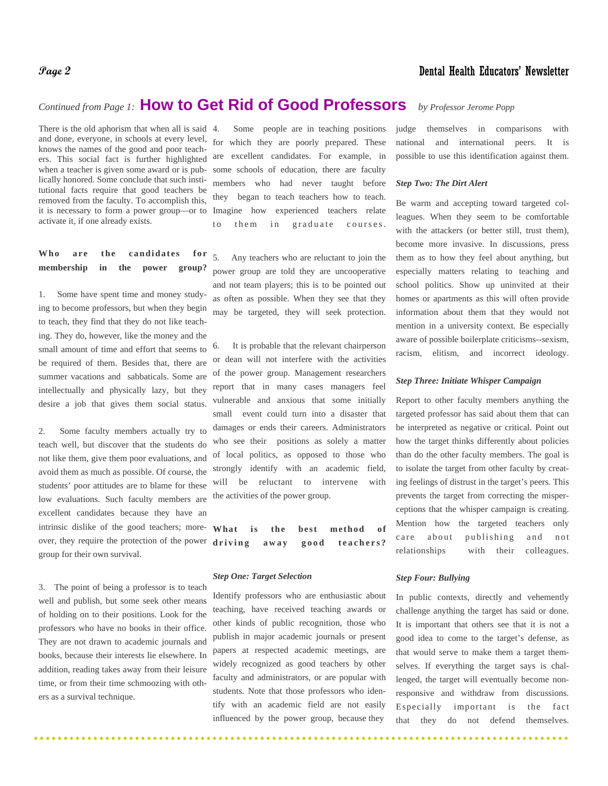#### **Page 2** Dental Health Educators' Newsletter

## *Continued from Page 1:* **How to Get Rid of Good Professors** *by Professor Jerome Popp*

There is the old aphorism that when all is said 4. and done, everyone, in schools at every level, knows the names of the good and poor teachers. This social fact is further highlighted when a teacher is given some award or is publically honored. Some conclude that such institutional facts require that good teachers be removed from the faculty. To accomplish this, it is necessary to form a power group—or to Imagine how activate it, if one already exists.

#### Who are the candidates for **membership in the power group?**

1. Some have spent time and money studying to become professors, but when they begin to teach, they find that they do not like teaching. They do, however, like the money and the small amount of time and effort that seems to be required of them. Besides that, there are summer vacations and sabbaticals. Some are intellectually and physically lazy, but they desire a job that gives them social status.

2. Some faculty members actually try to teach well, but discover that the students do not like them, give them poor evaluations, and avoid them as much as possible. Of course, the students' poor attitudes are to blame for these low evaluations. Such faculty members are excellent candidates because they have an intrinsic dislike of the good teachers; more- What over, they require the protection of the power  $diriving$ group for their own survival.

3. The point of being a professor is to teach well and publish, but some seek other means of holding on to their positions. Look for the professors who have no books in their office. They are not drawn to academic journals and books, because their interests lie elsewhere. In addition, reading takes away from their leisure time, or from their time schmoozing with others as a survival technique.

Some people are in teaching positions for which they are poorly prepared. These are excellent candidates. For example, in some schools of education, there are faculty members who had never taught before they began to teach teachers how to teach. experienced teachers relate to them in graduate courses.

5. Any teachers who are reluctant to join the power group are told they are uncooperative and not team players; this is to be pointed out as often as possible. When they see that they may be targeted, they will seek protection.

6. It is probable that the relevant chairperson or dean will not interfere with the activities of the power group. Management researchers report that in many cases managers feel vulnerable and anxious that some initially small event could turn into a disaster that damages or ends their careers. Administrators who see their positions as solely a matter of local politics, as opposed to those who strongly identify with an academic field, will be reluctant to intervene with the activities of the power group.

is the best method of **driving away good teachers?**

#### *Step One: Target Selection*

Identify professors who are enthusiastic about teaching, have received teaching awards or other kinds of public recognition, those who publish in major academic journals or present papers at respected academic meetings, are widely recognized as good teachers by other faculty and administrators, or are popular with students. Note that those professors who identify with an academic field are not easily influenced by the power group, because they

judge themselves in comparisons with national and international peers. It is possible to use this identification against them.

#### *Step Two: The Dirt Alert*

Be warm and accepting toward targeted colleagues. When they seem to be comfortable with the attackers (or better still, trust them), become more invasive. In discussions, press them as to how they feel about anything, but especially matters relating to teaching and school politics. Show up uninvited at their homes or apartments as this will often provide information about them that they would not mention in a university context. Be especially aware of possible boilerplate criticisms--sexism, racism, elitism, and incorrect ideology.

#### *Step Three: Initiate Whisper Campaign*

Report to other faculty members anything the targeted professor has said about them that can be interpreted as negative or critical. Point out how the target thinks differently about policies than do the other faculty members. The goal is to isolate the target from other faculty by creating feelings of distrust in the target's peers. This prevents the target from correcting the misperceptions that the whisper campaign is creating. Mention how the targeted teachers only care about publishing and not relationships with their colleagues.

#### *Step Four: Bullying*

In public contexts, directly and vehemently challenge anything the target has said or done. It is important that others see that it is not a good idea to come to the target's defense, as that would serve to make them a target themselves. If everything the target says is challenged, the target will eventually become nonresponsive and withdraw from discussions. Especially important is the fact that they do not defend themselves.

 $\frac{1}{2}$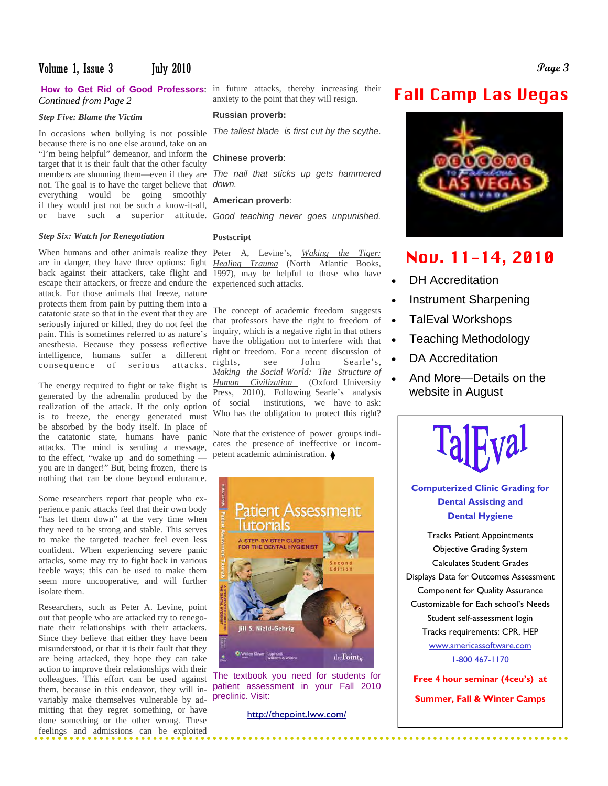#### Volume 1, Issue 3 July 2010 **Page 3**

## *Continued from Page 2*

#### *Step Five: Blame the Victim*

members are shunning them—even if they are The nail that sticks up gets hammered not. The goal is to have the target believe that down. In occasions when bullying is not possible because there is no one else around, take on an "I'm being helpful" demeanor, and inform the target that it is their fault that the other faculty everything would be going smoothly if they would just not be such a know-it-all,

#### *Step Six: Watch for Renegotiation*

When humans and other animals realize they Peter A, Levine's, *Waking the Tiger:* are in danger, they have three options: fight *Healing Trauma* (North Atlantic Books, intelligence, humans suffer a different right or reedom. For a recent discussion of serious attacks rights, see John Searle's, back against their attackers, take flight and escape their attackers, or freeze and endure the attack. For those animals that freeze, nature protects them from pain by putting them into a catatonic state so that in the event that they are seriously injured or killed, they do not feel the pain. This is sometimes referred to as nature's anesthesia. Because they possess reflective consequence of serious attacks. rights,

The energy required to fight or take flight is generated by the adrenalin produced by the realization of the attack. If the only option is to freeze, the energy generated must be absorbed by the body itself. In place of the catatonic state, humans have panic attacks. The mind is sending a message, to the effect, "wake up and do something you are in danger!" But, being frozen, there is nothing that can be done beyond endurance.

Some researchers report that people who experience panic attacks feel that their own body "has let them down" at the very time when they need to be strong and stable. This serves to make the targeted teacher feel even less confident. When experiencing severe panic attacks, some may try to fight back in various feeble ways; this can be used to make them seem more uncooperative, and will further isolate them.

variably make themselves vulnerable by ad- preclinic. Visit: Researchers, such as Peter A. Levine, point out that people who are attacked try to renegotiate their relationships with their attackers. Since they believe that either they have been misunderstood, or that it is their fault that they are being attacked, they hope they can take action to improve their relationships with their colleagues. This effort can be used against them, because in this endeavor, they will inmitting that they regret something, or have done something or the other wrong. These feelings and admissions can be exploited

How to Get Rid of Good Professors: in future attacks, thereby increasing their anxiety to the point that they will resign.

#### **Russian proverb:**

*The tallest blade is first cut by the scythe*.

#### **Chinese proverb**:

#### **American proverb**:

or have such a superior attitude. Good teaching never goes unpunished.

#### **Postscript**

1997), may be helpful to those who have experienced such attacks.

The concept of academic freedom suggests that professors have the right to freedom of inquiry, which is a negative right in that others have the obligation not to interfere with that right or freedom. For a recent discussion of *Making the Social World: The Structure of Human Civilization* (Oxford University Press, 2010). Following Searle's analysis of social institutions, we have to ask: Who has the obligation to protect this right?

Note that the existence of power groups indicates the presence of ineffective or incompetent academic administration.



The textbook you need for students for patient assessment in your Fall 2010

http://thepoint.lww.com/

## Fall Camp Las Vegas



## Nov. 11-14, 2010

- DH Accreditation
- Instrument Sharpening
- TalEval Workshops
- Teaching Methodology
- DA Accreditation
- And More—Details on the website in August



**Computerized Clinic Grading for Dental Assisting and Dental Hygiene** 

Tracks Patient Appointments Objective Grading System Calculates Student Grades Displays Data for Outcomes Assessment Component for Quality Assurance Customizable for Each school's Needs Student self-assessment login Tracks requirements: CPR, HEP www.americassoftware.com 1-800 467-1170

**Free 4 hour seminar (4ceu's) at** 

**Summer, Fall & Winter Camps**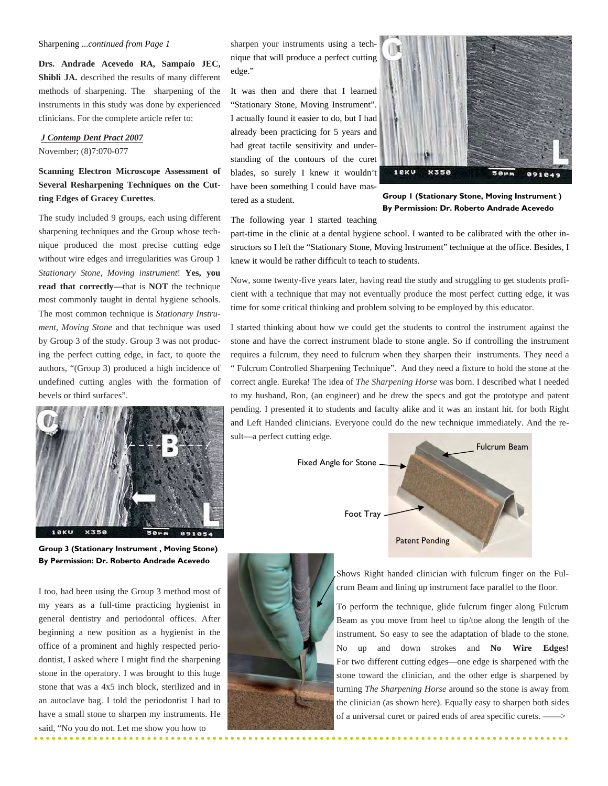#### Sharpening ...*continued from Page 1*

**Drs. Andrade Acevedo RA, Sampaio JEC,**  Shibli JA. described the results of many different methods of sharpening. The sharpening of the instruments in this study was done by experienced clinicians. For the complete article refer to:

#### *J Contemp Dent Pract 2007*

November; (8)7:070-077

#### **Scanning Electron Microscope Assessment of Several Resharpening Techniques on the Cutting Edges of Gracey Curettes**.

The study included 9 groups, each using different sharpening techniques and the Group whose technique produced the most precise cutting edge without wire edges and irregularities was Group 1 *Stationary Stone, Moving instrument*! **Yes, you read that correctly—**that is **NOT** the technique most commonly taught in dental hygiene schools. The most common technique is *Stationary Instrument, Moving Stone* and that technique was used by Group 3 of the study. Group 3 was not producing the perfect cutting edge, in fact, to quote the authors, "(Group 3) produced a high incidence of undefined cutting angles with the formation of bevels or third surfaces".



**Group 3 (Stationary Instrument , Moving Stone) By Permission: Dr. Roberto Andrade Acevedo** 

I too, had been using the Group 3 method most of my years as a full-time practicing hygienist in general dentistry and periodontal offices. After beginning a new position as a hygienist in the office of a prominent and highly respected periodontist, I asked where I might find the sharpening stone in the operatory. I was brought to this huge stone that was a 4x5 inch block, sterilized and in an autoclave bag. I told the periodontist I had to have a small stone to sharpen my instruments. He said, "No you do not. Let me show you how to

sharpen your instruments using a technique that will produce a perfect cutting edge."

It was then and there that I learned "Stationary Stone, Moving Instrument". I actually found it easier to do, but I had already been practicing for 5 years and had great tactile sensitivity and understanding of the contours of the curet blades, so surely I knew it wouldn't have been something I could have mastered as a student.



**Group 1 (Stationary Stone, Moving Instrument ) By Permission: Dr. Roberto Andrade Acevedo** 

The following year I started teaching

part-time in the clinic at a dental hygiene school. I wanted to be calibrated with the other instructors so I left the "Stationary Stone, Moving Instrument" technique at the office. Besides, I knew it would be rather difficult to teach to students.

Now, some twenty-five years later, having read the study and struggling to get students proficient with a technique that may not eventually produce the most perfect cutting edge, it was time for some critical thinking and problem solving to be employed by this educator.

I started thinking about how we could get the students to control the instrument against the stone and have the correct instrument blade to stone angle. So if controlling the instrument requires a fulcrum, they need to fulcrum when they sharpen their instruments. They need a " Fulcrum Controlled Sharpening Technique". And they need a fixture to hold the stone at the correct angle. Eureka! The idea of *The Sharpening Horse* was born. I described what I needed to my husband, Ron, (an engineer) and he drew the specs and got the prototype and patent pending. I presented it to students and faculty alike and it was an instant hit. for both Right and Left Handed clinicians. Everyone could do the new technique immediately. And the result—a perfect cutting edge.





j

Shows Right handed clinician with fulcrum finger on the Fulcrum Beam and lining up instrument face parallel to the floor.

To perform the technique, glide fulcrum finger along Fulcrum Beam as you move from heel to tip/toe along the length of the instrument. So easy to see the adaptation of blade to the stone. No up and down strokes and **No Wire Edges!** For two different cutting edges—one edge is sharpened with the stone toward the clinician, and the other edge is sharpened by turning *The Sharpening Horse* around so the stone is away from the clinician (as shown here). Equally easy to sharpen both sides of a universal curet or paired ends of area specific curets. ——>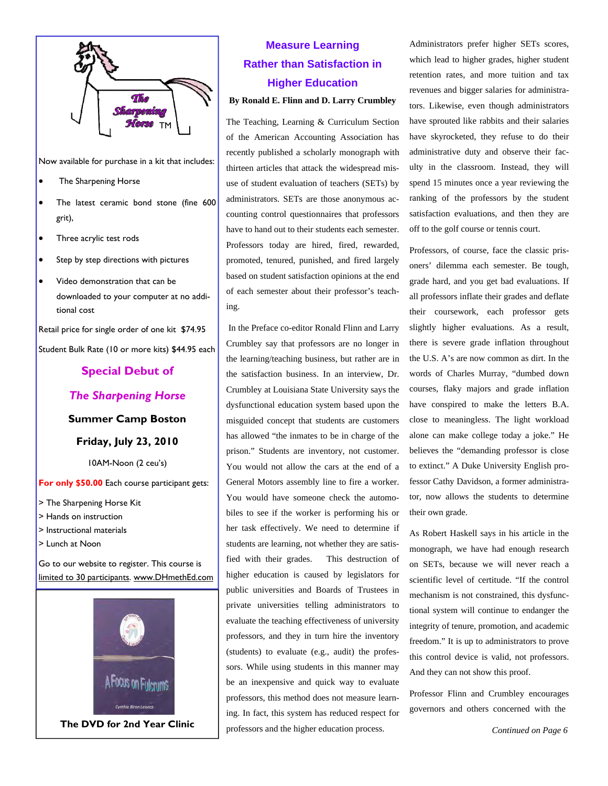

Now available for purchase in a kit that includes:

- The Sharpening Horse
- The latest ceramic bond stone (fine 600 grit),
- Three acrylic test rods
- Step by step directions with pictures
- Video demonstration that can be downloaded to your computer at no additional cost

Retail price for single order of one kit \$74.95 Student Bulk Rate (10 or more kits) \$44.95 each

### **Special Debut of**

#### *The Sharpening Horse*

**Summer Camp Boston** 

**Friday, July 23, 2010** 

10AM-Noon (2 ceu's)

**For only \$50.00** Each course participant gets:

- > The Sharpening Horse Kit
- > Hands on instruction
- > Instructional materials
- > Lunch at Noon

Go to our website to register. This course is limited to 30 participants. www.DHmethEd.com



## **Measure Learning Rather than Satisfaction in Higher Education**

#### **By Ronald E. Flinn and D. Larry Crumbley**

The Teaching, Learning & Curriculum Section of the American Accounting Association has recently published a scholarly monograph with thirteen articles that attack the widespread misuse of student evaluation of teachers (SETs) by administrators. SETs are those anonymous accounting control questionnaires that professors have to hand out to their students each semester. Professors today are hired, fired, rewarded, promoted, tenured, punished, and fired largely based on student satisfaction opinions at the end of each semester about their professor's teaching.

 In the Preface co-editor Ronald Flinn and Larry Crumbley say that professors are no longer in the learning/teaching business, but rather are in the satisfaction business. In an interview, Dr. Crumbley at Louisiana State University says the dysfunctional education system based upon the misguided concept that students are customers has allowed "the inmates to be in charge of the prison." Students are inventory, not customer. You would not allow the cars at the end of a General Motors assembly line to fire a worker. You would have someone check the automobiles to see if the worker is performing his or her task effectively. We need to determine if students are learning, not whether they are satisfied with their grades. This destruction of higher education is caused by legislators for public universities and Boards of Trustees in private universities telling administrators to evaluate the teaching effectiveness of university professors, and they in turn hire the inventory (students) to evaluate (e.g., audit) the professors. While using students in this manner may be an inexpensive and quick way to evaluate professors, this method does not measure learning. In fact, this system has reduced respect for **The DVD for 2nd Year Clinic** professors and the higher education process. Continued on Page 6

Administrators prefer higher SETs scores, which lead to higher grades, higher student retention rates, and more tuition and tax revenues and bigger salaries for administrators. Likewise, even though administrators have sprouted like rabbits and their salaries have skyrocketed, they refuse to do their administrative duty and observe their faculty in the classroom. Instead, they will spend 15 minutes once a year reviewing the ranking of the professors by the student satisfaction evaluations, and then they are off to the golf course or tennis court.

Professors, of course, face the classic prisoners' dilemma each semester. Be tough, grade hard, and you get bad evaluations. If all professors inflate their grades and deflate their coursework, each professor gets slightly higher evaluations. As a result, there is severe grade inflation throughout the U.S. A's are now common as dirt. In the words of Charles Murray, "dumbed down courses, flaky majors and grade inflation have conspired to make the letters B.A. close to meaningless. The light workload alone can make college today a joke." He believes the "demanding professor is close to extinct." A Duke University English professor Cathy Davidson, a former administrator, now allows the students to determine their own grade.

As Robert Haskell says in his article in the monograph, we have had enough research on SETs, because we will never reach a scientific level of certitude. "If the control mechanism is not constrained, this dysfunctional system will continue to endanger the integrity of tenure, promotion, and academic freedom." It is up to administrators to prove this control device is valid, not professors. And they can not show this proof.

Professor Flinn and Crumbley encourages governors and others concerned with the